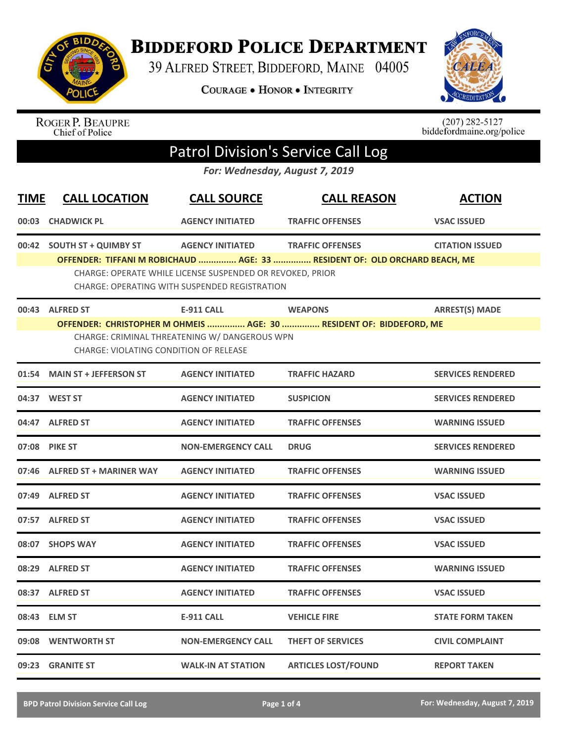

## **BIDDEFORD POLICE DEPARTMENT**

39 ALFRED STREET, BIDDEFORD, MAINE 04005

**COURAGE . HONOR . INTEGRITY** 



ROGER P. BEAUPRE<br>Chief of Police

 $(207)$  282-5127<br>biddefordmaine.org/police

## Patrol Division's Service Call Log

*For: Wednesday, August 7, 2019*

| <b>TIME</b> | <b>CALL LOCATION</b>                                             | <b>CALL SOURCE</b>                                                                                                                           | <b>CALL REASON</b>                                                                                    | <b>ACTION</b>            |
|-------------|------------------------------------------------------------------|----------------------------------------------------------------------------------------------------------------------------------------------|-------------------------------------------------------------------------------------------------------|--------------------------|
|             | 00:03 CHADWICK PL                                                | <b>AGENCY INITIATED</b>                                                                                                                      | <b>TRAFFIC OFFENSES</b>                                                                               | <b>VSAC ISSUED</b>       |
|             | 00:42 SOUTH ST + QUIMBY ST                                       | <b>AGENCY INITIATED</b><br>CHARGE: OPERATE WHILE LICENSE SUSPENDED OR REVOKED, PRIOR<br><b>CHARGE: OPERATING WITH SUSPENDED REGISTRATION</b> | <b>TRAFFIC OFFENSES</b><br>OFFENDER: TIFFANI M ROBICHAUD  AGE: 33  RESIDENT OF: OLD ORCHARD BEACH, ME | <b>CITATION ISSUED</b>   |
|             | 00:43 ALFRED ST<br><b>CHARGE: VIOLATING CONDITION OF RELEASE</b> | <b>E-911 CALL</b><br>CHARGE: CRIMINAL THREATENING W/ DANGEROUS WPN                                                                           | <b>WEAPONS</b><br>OFFENDER: CHRISTOPHER M OHMEIS  AGE: 30  RESIDENT OF: BIDDEFORD, ME                 | <b>ARREST(S) MADE</b>    |
| 01:54       | <b>MAIN ST + JEFFERSON ST</b>                                    | <b>AGENCY INITIATED</b>                                                                                                                      | <b>TRAFFIC HAZARD</b>                                                                                 | <b>SERVICES RENDERED</b> |
|             | 04:37 WEST ST                                                    | <b>AGENCY INITIATED</b>                                                                                                                      | <b>SUSPICION</b>                                                                                      | <b>SERVICES RENDERED</b> |
|             | 04:47 ALFRED ST                                                  | <b>AGENCY INITIATED</b>                                                                                                                      | <b>TRAFFIC OFFENSES</b>                                                                               | <b>WARNING ISSUED</b>    |
|             | 07:08 PIKE ST                                                    | <b>NON-EMERGENCY CALL</b>                                                                                                                    | <b>DRUG</b>                                                                                           | <b>SERVICES RENDERED</b> |
|             | 07:46 ALFRED ST + MARINER WAY                                    | <b>AGENCY INITIATED</b>                                                                                                                      | <b>TRAFFIC OFFENSES</b>                                                                               | <b>WARNING ISSUED</b>    |
|             | 07:49 ALFRED ST                                                  | <b>AGENCY INITIATED</b>                                                                                                                      | <b>TRAFFIC OFFENSES</b>                                                                               | <b>VSAC ISSUED</b>       |
|             | 07:57 ALFRED ST                                                  | <b>AGENCY INITIATED</b>                                                                                                                      | <b>TRAFFIC OFFENSES</b>                                                                               | <b>VSAC ISSUED</b>       |
|             | 08:07 SHOPS WAY                                                  | <b>AGENCY INITIATED</b>                                                                                                                      | <b>TRAFFIC OFFENSES</b>                                                                               | <b>VSAC ISSUED</b>       |
|             | 08:29 ALFRED ST                                                  | <b>AGENCY INITIATED</b>                                                                                                                      | <b>TRAFFIC OFFENSES</b>                                                                               | <b>WARNING ISSUED</b>    |
|             | 08:37 ALFRED ST                                                  | <b>AGENCY INITIATED</b>                                                                                                                      | <b>TRAFFIC OFFENSES</b>                                                                               | <b>VSAC ISSUED</b>       |
|             | 08:43 ELM ST                                                     | <b>E-911 CALL</b>                                                                                                                            | <b>VEHICLE FIRE</b>                                                                                   | <b>STATE FORM TAKEN</b>  |
|             | 09:08 WENTWORTH ST                                               | <b>NON-EMERGENCY CALL</b>                                                                                                                    | <b>THEFT OF SERVICES</b>                                                                              | <b>CIVIL COMPLAINT</b>   |
|             | 09:23 GRANITE ST                                                 | <b>WALK-IN AT STATION</b>                                                                                                                    | <b>ARTICLES LOST/FOUND</b>                                                                            | <b>REPORT TAKEN</b>      |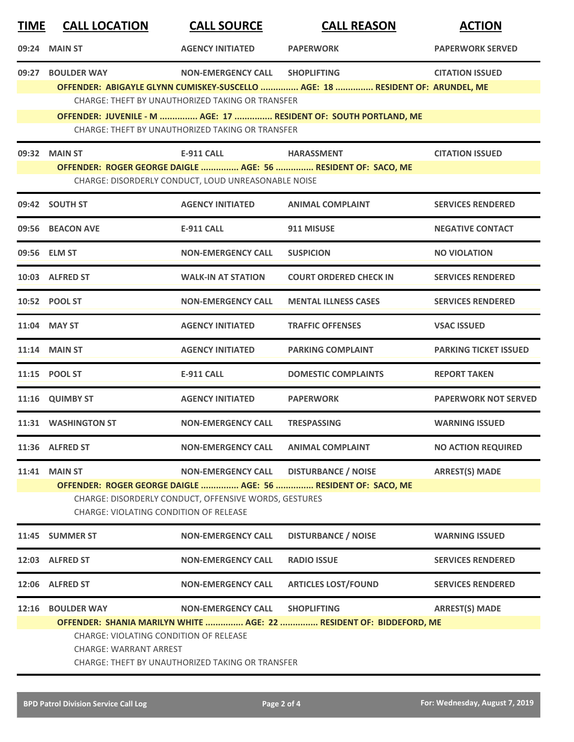| <u>TIME</u> | <b>CALL LOCATION</b>                                                           | <b>CALL SOURCE</b>                                    | <b>CALL REASON</b>                                                            | <b>ACTION</b>                |
|-------------|--------------------------------------------------------------------------------|-------------------------------------------------------|-------------------------------------------------------------------------------|------------------------------|
| 09:24       | <b>MAIN ST</b>                                                                 | <b>AGENCY INITIATED</b>                               | <b>PAPERWORK</b>                                                              | <b>PAPERWORK SERVED</b>      |
| 09:27       | <b>BOULDER WAY</b>                                                             | <b>NON-EMERGENCY CALL</b>                             | <b>SHOPLIFTING</b>                                                            | <b>CITATION ISSUED</b>       |
|             |                                                                                |                                                       | OFFENDER: ABIGAYLE GLYNN CUMISKEY-SUSCELLO  AGE: 18  RESIDENT OF: ARUNDEL, ME |                              |
|             |                                                                                | CHARGE: THEFT BY UNAUTHORIZED TAKING OR TRANSFER      |                                                                               |                              |
|             |                                                                                | CHARGE: THEFT BY UNAUTHORIZED TAKING OR TRANSFER      | OFFENDER: JUVENILE - M  AGE: 17  RESIDENT OF: SOUTH PORTLAND, ME              |                              |
|             | 09:32 MAIN ST                                                                  | <b>E-911 CALL</b>                                     | <b>HARASSMENT</b>                                                             | <b>CITATION ISSUED</b>       |
|             |                                                                                |                                                       | OFFENDER: ROGER GEORGE DAIGLE  AGE: 56  RESIDENT OF: SACO, ME                 |                              |
|             |                                                                                | CHARGE: DISORDERLY CONDUCT, LOUD UNREASONABLE NOISE   |                                                                               |                              |
|             | 09:42 SOUTH ST                                                                 | <b>AGENCY INITIATED</b>                               | <b>ANIMAL COMPLAINT</b>                                                       | <b>SERVICES RENDERED</b>     |
|             | 09:56 BEACON AVE                                                               | <b>E-911 CALL</b>                                     | 911 MISUSE                                                                    | <b>NEGATIVE CONTACT</b>      |
|             | 09:56 ELM ST                                                                   | <b>NON-EMERGENCY CALL</b>                             | <b>SUSPICION</b>                                                              | <b>NO VIOLATION</b>          |
|             | 10:03 ALFRED ST                                                                | <b>WALK-IN AT STATION</b>                             | <b>COURT ORDERED CHECK IN</b>                                                 | <b>SERVICES RENDERED</b>     |
|             | 10:52 POOL ST                                                                  | <b>NON-EMERGENCY CALL</b>                             | <b>MENTAL ILLNESS CASES</b>                                                   | <b>SERVICES RENDERED</b>     |
|             | 11:04 MAY ST                                                                   | <b>AGENCY INITIATED</b>                               | <b>TRAFFIC OFFENSES</b>                                                       | <b>VSAC ISSUED</b>           |
|             | <b>11:14 MAIN ST</b>                                                           | <b>AGENCY INITIATED</b>                               | <b>PARKING COMPLAINT</b>                                                      | <b>PARKING TICKET ISSUED</b> |
|             | 11:15 POOL ST                                                                  | <b>E-911 CALL</b>                                     | <b>DOMESTIC COMPLAINTS</b>                                                    | <b>REPORT TAKEN</b>          |
|             | 11:16 QUIMBY ST                                                                | <b>AGENCY INITIATED</b>                               | <b>PAPERWORK</b>                                                              | <b>PAPERWORK NOT SERVED</b>  |
|             | 11:31 WASHINGTON ST                                                            | <b>NON-EMERGENCY CALL</b>                             | <b>TRESPASSING</b>                                                            | <b>WARNING ISSUED</b>        |
|             | 11:36 ALFRED ST                                                                | <b>NON-EMERGENCY CALL</b>                             | <b>ANIMAL COMPLAINT</b>                                                       | <b>NO ACTION REQUIRED</b>    |
| 11:41       | <b>MAIN ST</b>                                                                 | <b>NON-EMERGENCY CALL</b>                             | <b>DISTURBANCE / NOISE</b>                                                    | <b>ARREST(S) MADE</b>        |
|             |                                                                                |                                                       | OFFENDER: ROGER GEORGE DAIGLE  AGE: 56  RESIDENT OF: SACO, ME                 |                              |
|             | <b>CHARGE: VIOLATING CONDITION OF RELEASE</b>                                  | CHARGE: DISORDERLY CONDUCT, OFFENSIVE WORDS, GESTURES |                                                                               |                              |
|             | 11:45 SUMMER ST                                                                | <b>NON-EMERGENCY CALL</b>                             | <b>DISTURBANCE / NOISE</b>                                                    | <b>WARNING ISSUED</b>        |
|             | 12:03 ALFRED ST                                                                | <b>NON-EMERGENCY CALL</b>                             | <b>RADIO ISSUE</b>                                                            | <b>SERVICES RENDERED</b>     |
|             | 12:06 ALFRED ST                                                                | <b>NON-EMERGENCY CALL</b>                             | <b>ARTICLES LOST/FOUND</b>                                                    | <b>SERVICES RENDERED</b>     |
| 12:16       | <b>BOULDER WAY</b>                                                             | <b>NON-EMERGENCY CALL</b>                             | <b>SHOPLIFTING</b>                                                            | <b>ARREST(S) MADE</b>        |
|             |                                                                                |                                                       | OFFENDER: SHANIA MARILYN WHITE  AGE: 22  RESIDENT OF: BIDDEFORD, ME           |                              |
|             | <b>CHARGE: VIOLATING CONDITION OF RELEASE</b><br><b>CHARGE: WARRANT ARREST</b> |                                                       |                                                                               |                              |
|             |                                                                                | CHARGE: THEFT BY UNAUTHORIZED TAKING OR TRANSFER      |                                                                               |                              |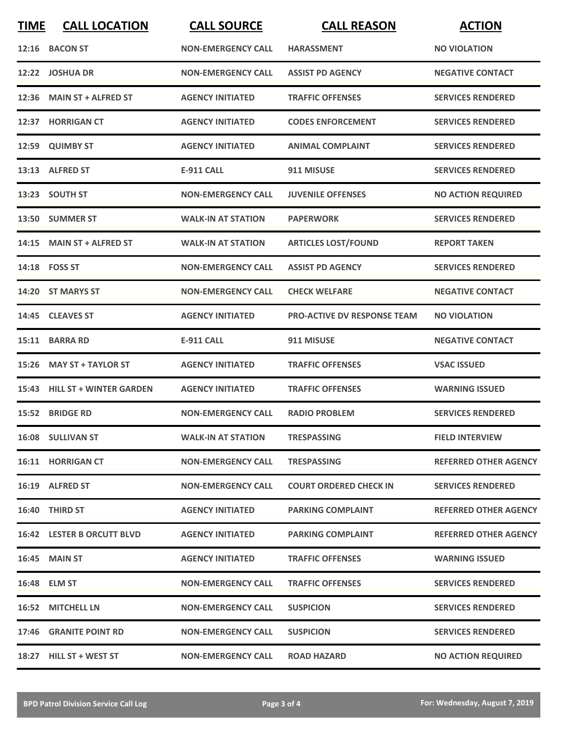| <b>TIME</b> | <b>CALL LOCATION</b>          | <b>CALL SOURCE</b>        | <b>CALL REASON</b>                 | <b>ACTION</b>                |
|-------------|-------------------------------|---------------------------|------------------------------------|------------------------------|
|             | 12:16 BACON ST                | <b>NON-EMERGENCY CALL</b> | <b>HARASSMENT</b>                  | <b>NO VIOLATION</b>          |
|             | 12:22 JOSHUA DR               | <b>NON-EMERGENCY CALL</b> | <b>ASSIST PD AGENCY</b>            | <b>NEGATIVE CONTACT</b>      |
| 12:36       | <b>MAIN ST + ALFRED ST</b>    | <b>AGENCY INITIATED</b>   | <b>TRAFFIC OFFENSES</b>            | <b>SERVICES RENDERED</b>     |
|             | 12:37 HORRIGAN CT             | <b>AGENCY INITIATED</b>   | <b>CODES ENFORCEMENT</b>           | <b>SERVICES RENDERED</b>     |
|             | 12:59 QUIMBY ST               | <b>AGENCY INITIATED</b>   | <b>ANIMAL COMPLAINT</b>            | <b>SERVICES RENDERED</b>     |
|             | 13:13 ALFRED ST               | <b>E-911 CALL</b>         | 911 MISUSE                         | <b>SERVICES RENDERED</b>     |
|             | 13:23 SOUTH ST                | <b>NON-EMERGENCY CALL</b> | <b>JUVENILE OFFENSES</b>           | <b>NO ACTION REQUIRED</b>    |
|             | 13:50 SUMMER ST               | <b>WALK-IN AT STATION</b> | <b>PAPERWORK</b>                   | <b>SERVICES RENDERED</b>     |
|             | 14:15 MAIN ST + ALFRED ST     | <b>WALK-IN AT STATION</b> | <b>ARTICLES LOST/FOUND</b>         | <b>REPORT TAKEN</b>          |
|             | 14:18 FOSS ST                 | <b>NON-EMERGENCY CALL</b> | <b>ASSIST PD AGENCY</b>            | <b>SERVICES RENDERED</b>     |
|             | 14:20 ST MARYS ST             | <b>NON-EMERGENCY CALL</b> | <b>CHECK WELFARE</b>               | <b>NEGATIVE CONTACT</b>      |
|             | 14:45 CLEAVES ST              | <b>AGENCY INITIATED</b>   | <b>PRO-ACTIVE DV RESPONSE TEAM</b> | <b>NO VIOLATION</b>          |
| 15:11       | <b>BARRA RD</b>               | <b>E-911 CALL</b>         | 911 MISUSE                         | <b>NEGATIVE CONTACT</b>      |
| 15:26       | <b>MAY ST + TAYLOR ST</b>     | <b>AGENCY INITIATED</b>   | <b>TRAFFIC OFFENSES</b>            | <b>VSAC ISSUED</b>           |
|             | 15:43 HILL ST + WINTER GARDEN | <b>AGENCY INITIATED</b>   | <b>TRAFFIC OFFENSES</b>            | <b>WARNING ISSUED</b>        |
|             | 15:52 BRIDGE RD               | <b>NON-EMERGENCY CALL</b> | <b>RADIO PROBLEM</b>               | <b>SERVICES RENDERED</b>     |
|             | 16:08 SULLIVAN ST             | <b>WALK-IN AT STATION</b> | <b>TRESPASSING</b>                 | <b>FIELD INTERVIEW</b>       |
|             | <b>16:11 HORRIGAN CT</b>      | <b>NON-EMERGENCY CALL</b> | <b>TRESPASSING</b>                 | <b>REFERRED OTHER AGENCY</b> |
|             | 16:19 ALFRED ST               | <b>NON-EMERGENCY CALL</b> | <b>COURT ORDERED CHECK IN</b>      | <b>SERVICES RENDERED</b>     |
|             | 16:40 THIRD ST                | <b>AGENCY INITIATED</b>   | <b>PARKING COMPLAINT</b>           | <b>REFERRED OTHER AGENCY</b> |
|             | 16:42 LESTER B ORCUTT BLVD    | <b>AGENCY INITIATED</b>   | <b>PARKING COMPLAINT</b>           | <b>REFERRED OTHER AGENCY</b> |
|             | <b>16:45 MAIN ST</b>          | <b>AGENCY INITIATED</b>   | <b>TRAFFIC OFFENSES</b>            | <b>WARNING ISSUED</b>        |
|             | 16:48 ELM ST                  | <b>NON-EMERGENCY CALL</b> | <b>TRAFFIC OFFENSES</b>            | <b>SERVICES RENDERED</b>     |
|             | 16:52 MITCHELL LN             | <b>NON-EMERGENCY CALL</b> | <b>SUSPICION</b>                   | <b>SERVICES RENDERED</b>     |
|             | 17:46 GRANITE POINT RD        | <b>NON-EMERGENCY CALL</b> | <b>SUSPICION</b>                   | <b>SERVICES RENDERED</b>     |
|             | 18:27 HILL ST + WEST ST       | <b>NON-EMERGENCY CALL</b> | <b>ROAD HAZARD</b>                 | <b>NO ACTION REQUIRED</b>    |